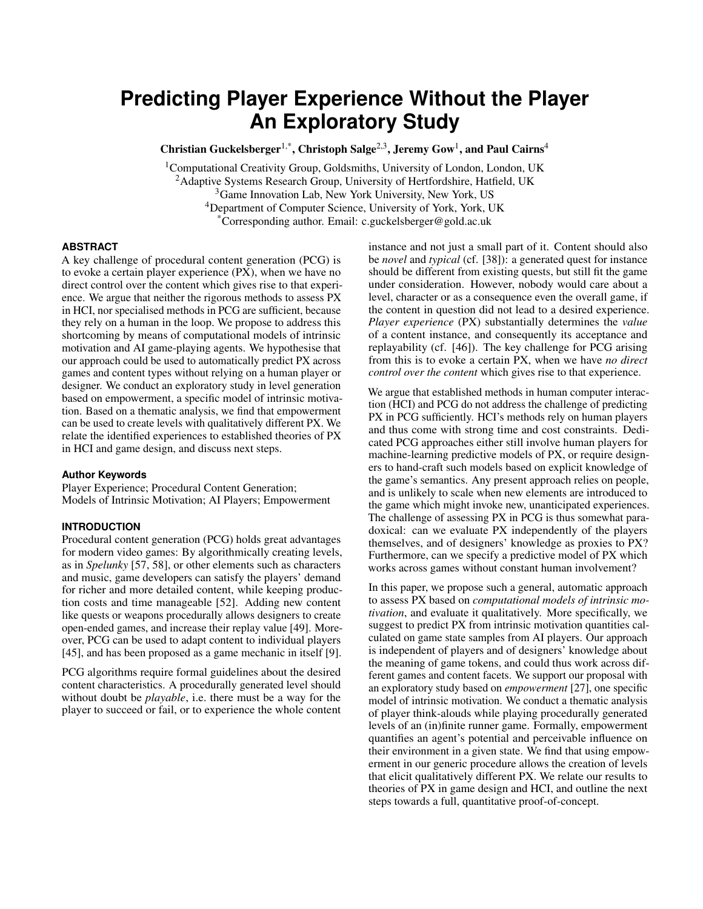# **Predicting Player Experience Without the Player An Exploratory Study**

Christian Guckelsberger<sup>1,\*</sup>, Christoph Salge<sup>2,3</sup>, Jeremy Gow<sup>1</sup>, and Paul Cairns<sup>4</sup>

<sup>1</sup>Computational Creativity Group, Goldsmiths, University of London, London, UK <sup>2</sup>Adaptive Systems Research Group, University of Hertfordshire, Hatfield, UK <sup>3</sup>Game Innovation Lab, New York University, New York, US <sup>4</sup>Department of Computer Science, University of York, York, UK \*Corresponding author. Email: c.guckelsberger@gold.ac.uk

# **ABSTRACT**

A key challenge of procedural content generation (PCG) is to evoke a certain player experience (PX), when we have no direct control over the content which gives rise to that experience. We argue that neither the rigorous methods to assess PX in HCI, nor specialised methods in PCG are sufficient, because they rely on a human in the loop. We propose to address this shortcoming by means of computational models of intrinsic motivation and AI game-playing agents. We hypothesise that our approach could be used to automatically predict PX across games and content types without relying on a human player or designer. We conduct an exploratory study in level generation based on empowerment, a specific model of intrinsic motivation. Based on a thematic analysis, we find that empowerment can be used to create levels with qualitatively different PX. We relate the identified experiences to established theories of PX in HCI and game design, and discuss next steps.

#### **Author Keywords**

Player Experience; Procedural Content Generation; Models of Intrinsic Motivation; AI Players; Empowerment

## **INTRODUCTION**

Procedural content generation (PCG) holds great advantages for modern video games: By algorithmically creating levels, as in *Spelunky* [\[57,](#page-10-0) [58\]](#page-10-1), or other elements such as characters and music, game developers can satisfy the players' demand for richer and more detailed content, while keeping production costs and time manageable [\[52\]](#page-10-2). Adding new content like quests or weapons procedurally allows designers to create open-ended games, and increase their replay value [\[49\]](#page-10-3). Moreover, PCG can be used to adapt content to individual players [\[45\]](#page-10-4), and has been proposed as a game mechanic in itself [\[9\]](#page-9-0).

PCG algorithms require formal guidelines about the desired content characteristics. A procedurally generated level should without doubt be *playable*, i.e. there must be a way for the player to succeed or fail, or to experience the whole content instance and not just a small part of it. Content should also be *novel* and *typical* (cf. [\[38\]](#page-10-5)): a generated quest for instance should be different from existing quests, but still fit the game under consideration. However, nobody would care about a level, character or as a consequence even the overall game, if the content in question did not lead to a desired experience. *Player experience* (PX) substantially determines the *value* of a content instance, and consequently its acceptance and replayability (cf. [\[46\]](#page-10-6)). The key challenge for PCG arising from this is to evoke a certain PX, when we have *no direct control over the content* which gives rise to that experience.

We argue that established methods in human computer interaction (HCI) and PCG do not address the challenge of predicting PX in PCG sufficiently. HCI's methods rely on human players and thus come with strong time and cost constraints. Dedicated PCG approaches either still involve human players for machine-learning predictive models of PX, or require designers to hand-craft such models based on explicit knowledge of the game's semantics. Any present approach relies on people, and is unlikely to scale when new elements are introduced to the game which might invoke new, unanticipated experiences. The challenge of assessing PX in PCG is thus somewhat paradoxical: can we evaluate PX independently of the players themselves, and of designers' knowledge as proxies to PX? Furthermore, can we specify a predictive model of PX which works across games without constant human involvement?

In this paper, we propose such a general, automatic approach to assess PX based on *computational models of intrinsic motivation*, and evaluate it qualitatively. More specifically, we suggest to predict PX from intrinsic motivation quantities calculated on game state samples from AI players. Our approach is independent of players and of designers' knowledge about the meaning of game tokens, and could thus work across different games and content facets. We support our proposal with an exploratory study based on *empowerment* [\[27\]](#page-10-7), one specific model of intrinsic motivation. We conduct a thematic analysis of player think-alouds while playing procedurally generated levels of an (in)finite runner game. Formally, empowerment quantifies an agent's potential and perceivable influence on their environment in a given state. We find that using empowerment in our generic procedure allows the creation of levels that elicit qualitatively different PX. We relate our results to theories of PX in game design and HCI, and outline the next steps towards a full, quantitative proof-of-concept.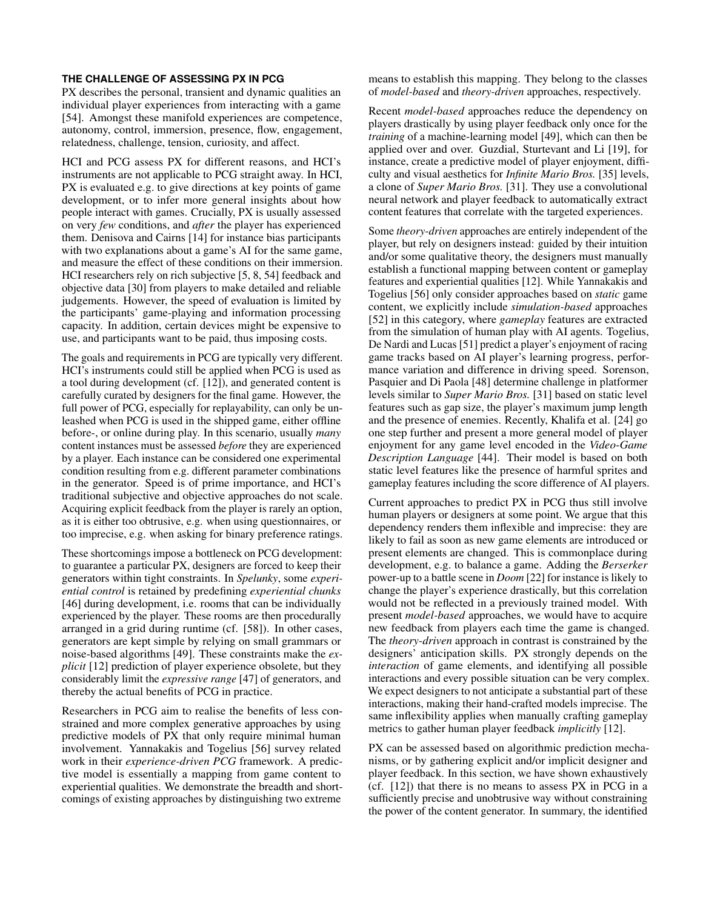# **THE CHALLENGE OF ASSESSING PX IN PCG**

PX describes the personal, transient and dynamic qualities an individual player experiences from interacting with a game [\[54\]](#page-10-8). Amongst these manifold experiences are competence, autonomy, control, immersion, presence, flow, engagement, relatedness, challenge, tension, curiosity, and affect.

HCI and PCG assess PX for different reasons, and HCI's instruments are not applicable to PCG straight away. In HCI, PX is evaluated e.g. to give directions at key points of game development, or to infer more general insights about how people interact with games. Crucially, PX is usually assessed on very *few* conditions, and *after* the player has experienced them. Denisova and Cairns [\[14\]](#page-9-1) for instance bias participants with two explanations about a game's AI for the same game, and measure the effect of these conditions on their immersion. HCI researchers rely on rich subjective [\[5,](#page-9-2) [8,](#page-9-3) [54\]](#page-10-8) feedback and objective data [\[30\]](#page-10-9) from players to make detailed and reliable judgements. However, the speed of evaluation is limited by the participants' game-playing and information processing capacity. In addition, certain devices might be expensive to use, and participants want to be paid, thus imposing costs.

The goals and requirements in PCG are typically very different. HCI's instruments could still be applied when PCG is used as a tool during development (cf. [\[12\]](#page-9-4)), and generated content is carefully curated by designers for the final game. However, the full power of PCG, especially for replayability, can only be unleashed when PCG is used in the shipped game, either offline before-, or online during play. In this scenario, usually *many* content instances must be assessed *before* they are experienced by a player. Each instance can be considered one experimental condition resulting from e.g. different parameter combinations in the generator. Speed is of prime importance, and HCI's traditional subjective and objective approaches do not scale. Acquiring explicit feedback from the player is rarely an option, as it is either too obtrusive, e.g. when using questionnaires, or too imprecise, e.g. when asking for binary preference ratings.

These shortcomings impose a bottleneck on PCG development: to guarantee a particular PX, designers are forced to keep their generators within tight constraints. In *Spelunky*, some *experiential control* is retained by predefining *experiential chunks* [\[46\]](#page-10-6) during development, i.e. rooms that can be individually experienced by the player. These rooms are then procedurally arranged in a grid during runtime (cf. [\[58\]](#page-10-1)). In other cases, generators are kept simple by relying on small grammars or noise-based algorithms [\[49\]](#page-10-3). These constraints make the *explicit* [\[12\]](#page-9-4) prediction of player experience obsolete, but they considerably limit the *expressive range* [\[47\]](#page-10-10) of generators, and thereby the actual benefits of PCG in practice.

Researchers in PCG aim to realise the benefits of less constrained and more complex generative approaches by using predictive models of PX that only require minimal human involvement. Yannakakis and Togelius [\[56\]](#page-10-11) survey related work in their *experience-driven PCG* framework. A predictive model is essentially a mapping from game content to experiential qualities. We demonstrate the breadth and shortcomings of existing approaches by distinguishing two extreme

means to establish this mapping. They belong to the classes of *model-based* and *theory-driven* approaches, respectively.

Recent *model-based* approaches reduce the dependency on players drastically by using player feedback only once for the *training* of a machine-learning model [\[49\]](#page-10-3), which can then be applied over and over. Guzdial, Sturtevant and Li [\[19\]](#page-9-5), for instance, create a predictive model of player enjoyment, difficulty and visual aesthetics for *Infinite Mario Bros.* [\[35\]](#page-10-12) levels, a clone of *Super Mario Bros.* [\[31\]](#page-10-13). They use a convolutional neural network and player feedback to automatically extract content features that correlate with the targeted experiences.

Some *theory-driven* approaches are entirely independent of the player, but rely on designers instead: guided by their intuition and/or some qualitative theory, the designers must manually establish a functional mapping between content or gameplay features and experiential qualities [\[12\]](#page-9-4). While Yannakakis and Togelius [\[56\]](#page-10-11) only consider approaches based on *static* game content, we explicitly include *simulation-based* approaches [\[52\]](#page-10-2) in this category, where *gameplay* features are extracted from the simulation of human play with AI agents. Togelius, De Nardi and Lucas [\[51\]](#page-10-14) predict a player's enjoyment of racing game tracks based on AI player's learning progress, performance variation and difference in driving speed. Sorenson, Pasquier and Di Paola [\[48\]](#page-10-15) determine challenge in platformer levels similar to *Super Mario Bros.* [\[31\]](#page-10-13) based on static level features such as gap size, the player's maximum jump length and the presence of enemies. Recently, Khalifa et al. [\[24\]](#page-9-6) go one step further and present a more general model of player enjoyment for any game level encoded in the *Video-Game Description Language* [\[44\]](#page-10-16). Their model is based on both static level features like the presence of harmful sprites and gameplay features including the score difference of AI players.

Current approaches to predict PX in PCG thus still involve human players or designers at some point. We argue that this dependency renders them inflexible and imprecise: they are likely to fail as soon as new game elements are introduced or present elements are changed. This is commonplace during development, e.g. to balance a game. Adding the *Berserker* power-up to a battle scene in *Doom* [\[22\]](#page-9-7) for instance is likely to change the player's experience drastically, but this correlation would not be reflected in a previously trained model. With present *model-based* approaches, we would have to acquire new feedback from players each time the game is changed. The *theory-driven* approach in contrast is constrained by the designers' anticipation skills. PX strongly depends on the *interaction* of game elements, and identifying all possible interactions and every possible situation can be very complex. We expect designers to not anticipate a substantial part of these interactions, making their hand-crafted models imprecise. The same inflexibility applies when manually crafting gameplay metrics to gather human player feedback *implicitly* [\[12\]](#page-9-4).

PX can be assessed based on algorithmic prediction mechanisms, or by gathering explicit and/or implicit designer and player feedback. In this section, we have shown exhaustively (cf. [\[12\]](#page-9-4)) that there is no means to assess PX in PCG in a sufficiently precise and unobtrusive way without constraining the power of the content generator. In summary, the identified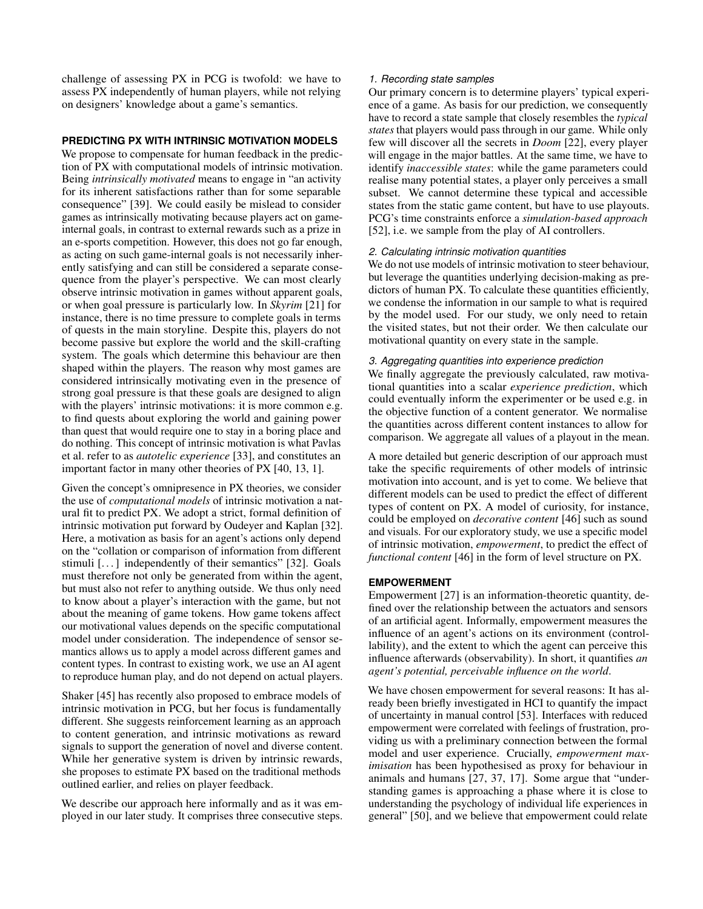challenge of assessing PX in PCG is twofold: we have to assess PX independently of human players, while not relying on designers' knowledge about a game's semantics.

# **PREDICTING PX WITH INTRINSIC MOTIVATION MODELS**

We propose to compensate for human feedback in the prediction of PX with computational models of intrinsic motivation. Being *intrinsically motivated* means to engage in "an activity for its inherent satisfactions rather than for some separable consequence" [\[39\]](#page-10-17). We could easily be mislead to consider games as intrinsically motivating because players act on gameinternal goals, in contrast to external rewards such as a prize in an e-sports competition. However, this does not go far enough, as acting on such game-internal goals is not necessarily inherently satisfying and can still be considered a separate consequence from the player's perspective. We can most clearly observe intrinsic motivation in games without apparent goals, or when goal pressure is particularly low. In *Skyrim* [\[21\]](#page-9-8) for instance, there is no time pressure to complete goals in terms of quests in the main storyline. Despite this, players do not become passive but explore the world and the skill-crafting system. The goals which determine this behaviour are then shaped within the players. The reason why most games are considered intrinsically motivating even in the presence of strong goal pressure is that these goals are designed to align with the players' intrinsic motivations: it is more common e.g. to find quests about exploring the world and gaining power than quest that would require one to stay in a boring place and do nothing. This concept of intrinsic motivation is what Pavlas et al. refer to as *autotelic experience* [\[33\]](#page-10-18), and constitutes an important factor in many other theories of PX [\[40,](#page-10-19) [13,](#page-9-9) [1\]](#page-9-10).

Given the concept's omnipresence in PX theories, we consider the use of *computational models* of intrinsic motivation a natural fit to predict PX. We adopt a strict, formal definition of intrinsic motivation put forward by Oudeyer and Kaplan [\[32\]](#page-10-20). Here, a motivation as basis for an agent's actions only depend on the "collation or comparison of information from different stimuli [...] independently of their semantics" [\[32\]](#page-10-20). Goals must therefore not only be generated from within the agent, but must also not refer to anything outside. We thus only need to know about a player's interaction with the game, but not about the meaning of game tokens. How game tokens affect our motivational values depends on the specific computational model under consideration. The independence of sensor semantics allows us to apply a model across different games and content types. In contrast to existing work, we use an AI agent to reproduce human play, and do not depend on actual players.

Shaker [\[45\]](#page-10-4) has recently also proposed to embrace models of intrinsic motivation in PCG, but her focus is fundamentally different. She suggests reinforcement learning as an approach to content generation, and intrinsic motivations as reward signals to support the generation of novel and diverse content. While her generative system is driven by intrinsic rewards, she proposes to estimate PX based on the traditional methods outlined earlier, and relies on player feedback.

We describe our approach here informally and as it was employed in our later study. It comprises three consecutive steps.

# *1. Recording state samples*

Our primary concern is to determine players' typical experience of a game. As basis for our prediction, we consequently have to record a state sample that closely resembles the *typical states* that players would pass through in our game. While only few will discover all the secrets in *Doom* [\[22\]](#page-9-7), every player will engage in the major battles. At the same time, we have to identify *inaccessible states*: while the game parameters could realise many potential states, a player only perceives a small subset. We cannot determine these typical and accessible states from the static game content, but have to use playouts. PCG's time constraints enforce a *simulation-based approach* [\[52\]](#page-10-2), i.e. we sample from the play of AI controllers.

## *2. Calculating intrinsic motivation quantities*

We do not use models of intrinsic motivation to steer behaviour, but leverage the quantities underlying decision-making as predictors of human PX. To calculate these quantities efficiently, we condense the information in our sample to what is required by the model used. For our study, we only need to retain the visited states, but not their order. We then calculate our motivational quantity on every state in the sample.

# *3. Aggregating quantities into experience prediction*

We finally aggregate the previously calculated, raw motivational quantities into a scalar *experience prediction*, which could eventually inform the experimenter or be used e.g. in the objective function of a content generator. We normalise the quantities across different content instances to allow for comparison. We aggregate all values of a playout in the mean.

A more detailed but generic description of our approach must take the specific requirements of other models of intrinsic motivation into account, and is yet to come. We believe that different models can be used to predict the effect of different types of content on PX. A model of curiosity, for instance, could be employed on *decorative content* [\[46\]](#page-10-6) such as sound and visuals. For our exploratory study, we use a specific model of intrinsic motivation, *empowerment*, to predict the effect of *functional content* [\[46\]](#page-10-6) in the form of level structure on PX.

# **EMPOWERMENT**

Empowerment [\[27\]](#page-10-7) is an information-theoretic quantity, defined over the relationship between the actuators and sensors of an artificial agent. Informally, empowerment measures the influence of an agent's actions on its environment (controllability), and the extent to which the agent can perceive this influence afterwards (observability). In short, it quantifies *an agent's potential, perceivable influence on the world*.

We have chosen empowerment for several reasons: It has already been briefly investigated in HCI to quantify the impact of uncertainty in manual control [\[53\]](#page-10-21). Interfaces with reduced empowerment were correlated with feelings of frustration, providing us with a preliminary connection between the formal model and user experience. Crucially, *empowerment maximisation* has been hypothesised as proxy for behaviour in animals and humans [\[27,](#page-10-7) [37,](#page-10-22) [17\]](#page-9-11). Some argue that "understanding games is approaching a phase where it is close to understanding the psychology of individual life experiences in general" [\[50\]](#page-10-23), and we believe that empowerment could relate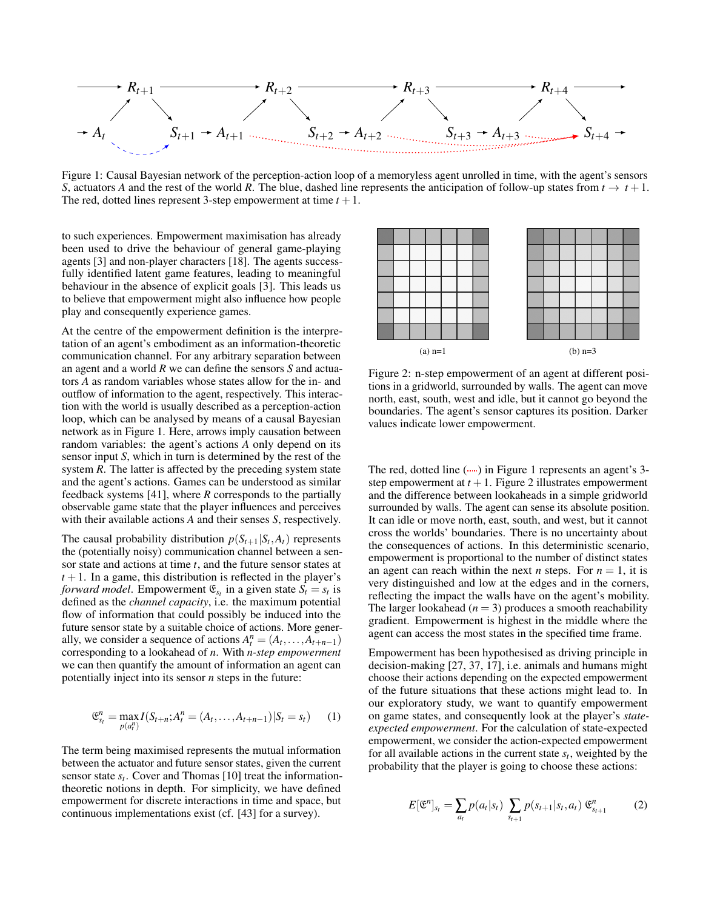<span id="page-3-0"></span>

Figure 1: Causal Bayesian network of the perception-action loop of a memoryless agent unrolled in time, with the agent's sensors *S*, actuators *A* and the rest of the world *R*. The blue, dashed line represents the anticipation of follow-up states from  $t \to t+1$ . The red, dotted lines represent 3-step empowerment at time  $t + 1$ .

to such experiences. Empowerment maximisation has already been used to drive the behaviour of general game-playing agents [\[3\]](#page-9-12) and non-player characters [\[18\]](#page-9-13). The agents successfully identified latent game features, leading to meaningful behaviour in the absence of explicit goals [\[3\]](#page-9-12). This leads us to believe that empowerment might also influence how people play and consequently experience games.

At the centre of the empowerment definition is the interpretation of an agent's embodiment as an information-theoretic communication channel. For any arbitrary separation between an agent and a world *R* we can define the sensors *S* and actuators *A* as random variables whose states allow for the in- and outflow of information to the agent, respectively. This interaction with the world is usually described as a perception-action loop, which can be analysed by means of a causal Bayesian network as in Figure [1.](#page-3-0) Here, arrows imply causation between random variables: the agent's actions *A* only depend on its sensor input *S*, which in turn is determined by the rest of the system *R*. The latter is affected by the preceding system state and the agent's actions. Games can be understood as similar feedback systems [\[41\]](#page-10-24), where *R* corresponds to the partially observable game state that the player influences and perceives with their available actions *A* and their senses *S*, respectively.

The causal probability distribution  $p(S_{t+1}|S_t, A_t)$  represents the (potentially noisy) communication channel between a sensor state and actions at time *t*, and the future sensor states at  $t + 1$ . In a game, this distribution is reflected in the player's *forward model*. Empowerment  $\mathfrak{E}_{s_t}$  in a given state  $S_t = s_t$  is defined as the *channel capacity*, i.e. the maximum potential flow of information that could possibly be induced into the future sensor state by a suitable choice of actions. More generally, we consider a sequence of actions  $A_t^n = (A_t, \dots, A_{t+n-1})$ corresponding to a lookahead of *n*. With *n-step empowerment* we can then quantify the amount of information an agent can potentially inject into its sensor *n* steps in the future:

$$
\mathfrak{E}_{s_t}^n = \max_{p(a_t^n)} I(S_{t+n}; A_t^n = (A_t, \dots, A_{t+n-1}) | S_t = s_t)
$$
 (1)

The term being maximised represents the mutual information between the actuator and future sensor states, given the current sensor state  $s_t$ . Cover and Thomas [\[10\]](#page-9-14) treat the informationtheoretic notions in depth. For simplicity, we have defined empowerment for discrete interactions in time and space, but continuous implementations exist (cf. [\[43\]](#page-10-25) for a survey).

<span id="page-3-1"></span>

Figure 2: n-step empowerment of an agent at different positions in a gridworld, surrounded by walls. The agent can move north, east, south, west and idle, but it cannot go beyond the boundaries. The agent's sensor captures its position. Darker values indicate lower empowerment.

The red, dotted line  $(\dots)$  in Figure [1](#page-3-0) represents an agent's 3step empowerment at  $t + 1$ . Figure [2](#page-3-1) illustrates empowerment and the difference between lookaheads in a simple gridworld surrounded by walls. The agent can sense its absolute position. It can idle or move north, east, south, and west, but it cannot cross the worlds' boundaries. There is no uncertainty about the consequences of actions. In this deterministic scenario, empowerment is proportional to the number of distinct states an agent can reach within the next *n* steps. For  $n = 1$ , it is very distinguished and low at the edges and in the corners, reflecting the impact the walls have on the agent's mobility. The larger lookahead  $(n = 3)$  produces a smooth reachability gradient. Empowerment is highest in the middle where the agent can access the most states in the specified time frame.

Empowerment has been hypothesised as driving principle in decision-making [\[27,](#page-10-7) [37,](#page-10-22) [17\]](#page-9-11), i.e. animals and humans might choose their actions depending on the expected empowerment of the future situations that these actions might lead to. In our exploratory study, we want to quantify empowerment on game states, and consequently look at the player's *stateexpected empowerment*. For the calculation of state-expected empowerment, we consider the action-expected empowerment for all available actions in the current state *s<sup>t</sup>* , weighted by the probability that the player is going to choose these actions:

<span id="page-3-2"></span>
$$
E[\mathfrak{E}^n]_{s_t} = \sum_{a_t} p(a_t|s_t) \sum_{s_{t+1}} p(s_{t+1}|s_t, a_t) \mathfrak{E}^n_{s_{t+1}}
$$
(2)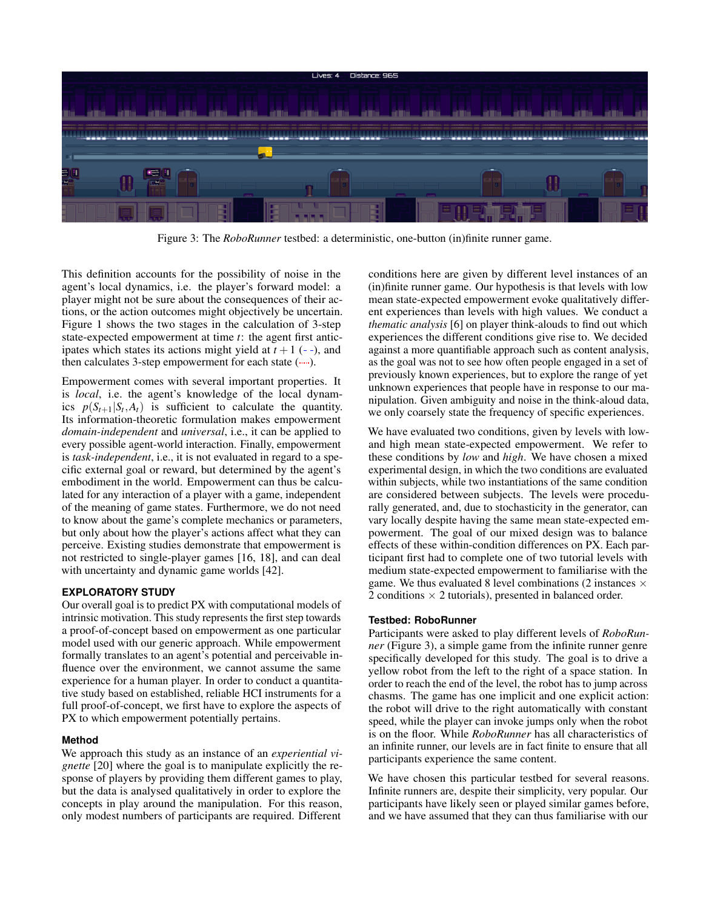<span id="page-4-0"></span>

Figure 3: The *RoboRunner* testbed: a deterministic, one-button (in)finite runner game.

This definition accounts for the possibility of noise in the agent's local dynamics, i.e. the player's forward model: a player might not be sure about the consequences of their actions, or the action outcomes might objectively be uncertain. Figure [1](#page-3-0) shows the two stages in the calculation of 3-step state-expected empowerment at time *t*: the agent first anticipates which states its actions might yield at  $t + 1$  ( $\text{-}$ ), and then calculates 3-step empowerment for each state  $(\cdot \cdot \cdot \cdot)$ .

Empowerment comes with several important properties. It is *local*, i.e. the agent's knowledge of the local dynamics  $p(S_{t+1}|S_t, A_t)$  is sufficient to calculate the quantity. Its information-theoretic formulation makes empowerment *domain-independent* and *universal*, i.e., it can be applied to every possible agent-world interaction. Finally, empowerment is *task-independent*, i.e., it is not evaluated in regard to a specific external goal or reward, but determined by the agent's embodiment in the world. Empowerment can thus be calculated for any interaction of a player with a game, independent of the meaning of game states. Furthermore, we do not need to know about the game's complete mechanics or parameters, but only about how the player's actions affect what they can perceive. Existing studies demonstrate that empowerment is not restricted to single-player games [\[16,](#page-9-15) [18\]](#page-9-13), and can deal with uncertainty and dynamic game worlds [\[42\]](#page-10-26).

## **EXPLORATORY STUDY**

Our overall goal is to predict PX with computational models of intrinsic motivation. This study represents the first step towards a proof-of-concept based on empowerment as one particular model used with our generic approach. While empowerment formally translates to an agent's potential and perceivable influence over the environment, we cannot assume the same experience for a human player. In order to conduct a quantitative study based on established, reliable HCI instruments for a full proof-of-concept, we first have to explore the aspects of PX to which empowerment potentially pertains.

# **Method**

We approach this study as an instance of an *experiential vignette* [\[20\]](#page-9-16) where the goal is to manipulate explicitly the response of players by providing them different games to play, but the data is analysed qualitatively in order to explore the concepts in play around the manipulation. For this reason, only modest numbers of participants are required. Different

conditions here are given by different level instances of an (in)finite runner game. Our hypothesis is that levels with low mean state-expected empowerment evoke qualitatively different experiences than levels with high values. We conduct a *thematic analysis* [\[6\]](#page-9-17) on player think-alouds to find out which experiences the different conditions give rise to. We decided against a more quantifiable approach such as content analysis, as the goal was not to see how often people engaged in a set of previously known experiences, but to explore the range of yet unknown experiences that people have in response to our manipulation. Given ambiguity and noise in the think-aloud data, we only coarsely state the frequency of specific experiences.

We have evaluated two conditions, given by levels with lowand high mean state-expected empowerment. We refer to these conditions by *low* and *high*. We have chosen a mixed experimental design, in which the two conditions are evaluated within subjects, while two instantiations of the same condition are considered between subjects. The levels were procedurally generated, and, due to stochasticity in the generator, can vary locally despite having the same mean state-expected empowerment. The goal of our mixed design was to balance effects of these within-condition differences on PX. Each participant first had to complete one of two tutorial levels with medium state-expected empowerment to familiarise with the game. We thus evaluated 8 level combinations (2 instances  $\times$ 2 conditions  $\times$  2 tutorials), presented in balanced order.

#### **Testbed: RoboRunner**

Participants were asked to play different levels of *RoboRunner* (Figure [3\)](#page-4-0), a simple game from the infinite runner genre specifically developed for this study. The goal is to drive a yellow robot from the left to the right of a space station. In order to reach the end of the level, the robot has to jump across chasms. The game has one implicit and one explicit action: the robot will drive to the right automatically with constant speed, while the player can invoke jumps only when the robot is on the floor. While *RoboRunner* has all characteristics of an infinite runner, our levels are in fact finite to ensure that all participants experience the same content.

We have chosen this particular testbed for several reasons. Infinite runners are, despite their simplicity, very popular. Our participants have likely seen or played similar games before, and we have assumed that they can thus familiarise with our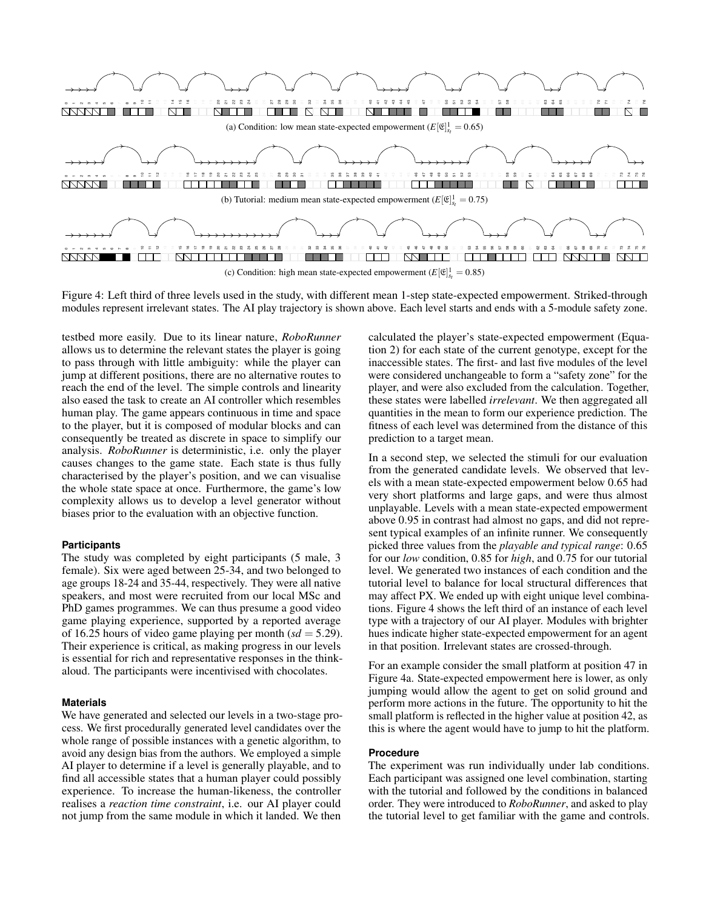<span id="page-5-0"></span>

(c) Condition: high mean state-expected empowerment ( $E[\mathfrak{E}]_{s}^1 = 0.85$ )

Figure 4: Left third of three levels used in the study, with different mean 1-step state-expected empowerment. Striked-through modules represent irrelevant states. The AI play trajectory is shown above. Each level starts and ends with a 5-module safety zone.

testbed more easily. Due to its linear nature, *RoboRunner* allows us to determine the relevant states the player is going to pass through with little ambiguity: while the player can jump at different positions, there are no alternative routes to reach the end of the level. The simple controls and linearity also eased the task to create an AI controller which resembles human play. The game appears continuous in time and space to the player, but it is composed of modular blocks and can consequently be treated as discrete in space to simplify our analysis. *RoboRunner* is deterministic, i.e. only the player causes changes to the game state. Each state is thus fully characterised by the player's position, and we can visualise the whole state space at once. Furthermore, the game's low complexity allows us to develop a level generator without biases prior to the evaluation with an objective function.

## **Participants**

The study was completed by eight participants (5 male, 3 female). Six were aged between 25-34, and two belonged to age groups 18-24 and 35-44, respectively. They were all native speakers, and most were recruited from our local MSc and PhD games programmes. We can thus presume a good video game playing experience, supported by a reported average of 16.25 hours of video game playing per month  $sd = 5.29$ ). Their experience is critical, as making progress in our levels is essential for rich and representative responses in the thinkaloud. The participants were incentivised with chocolates.

#### **Materials**

We have generated and selected our levels in a two-stage process. We first procedurally generated level candidates over the whole range of possible instances with a genetic algorithm, to avoid any design bias from the authors. We employed a simple AI player to determine if a level is generally playable, and to find all accessible states that a human player could possibly experience. To increase the human-likeness, the controller realises a *reaction time constraint*, i.e. our AI player could not jump from the same module in which it landed. We then

calculated the player's state-expected empowerment (Equation [2\)](#page-3-2) for each state of the current genotype, except for the inaccessible states. The first- and last five modules of the level were considered unchangeable to form a "safety zone" for the player, and were also excluded from the calculation. Together, these states were labelled *irrelevant*. We then aggregated all quantities in the mean to form our experience prediction. The fitness of each level was determined from the distance of this prediction to a target mean.

In a second step, we selected the stimuli for our evaluation from the generated candidate levels. We observed that levels with a mean state-expected empowerment below 0.65 had very short platforms and large gaps, and were thus almost unplayable. Levels with a mean state-expected empowerment above 0.95 in contrast had almost no gaps, and did not represent typical examples of an infinite runner. We consequently picked three values from the *playable and typical range*: 0.65 for our *low* condition, 0.85 for *high*, and 0.75 for our tutorial level. We generated two instances of each condition and the tutorial level to balance for local structural differences that may affect PX. We ended up with eight unique level combinations. Figure [4](#page-5-0) shows the left third of an instance of each level type with a trajectory of our AI player. Modules with brighter hues indicate higher state-expected empowerment for an agent in that position. Irrelevant states are crossed-through.

For an example consider the small platform at position 47 in Figure [4a.](#page-5-0) State-expected empowerment here is lower, as only jumping would allow the agent to get on solid ground and perform more actions in the future. The opportunity to hit the small platform is reflected in the higher value at position 42, as this is where the agent would have to jump to hit the platform.

#### **Procedure**

The experiment was run individually under lab conditions. Each participant was assigned one level combination, starting with the tutorial and followed by the conditions in balanced order. They were introduced to *RoboRunner*, and asked to play the tutorial level to get familiar with the game and controls.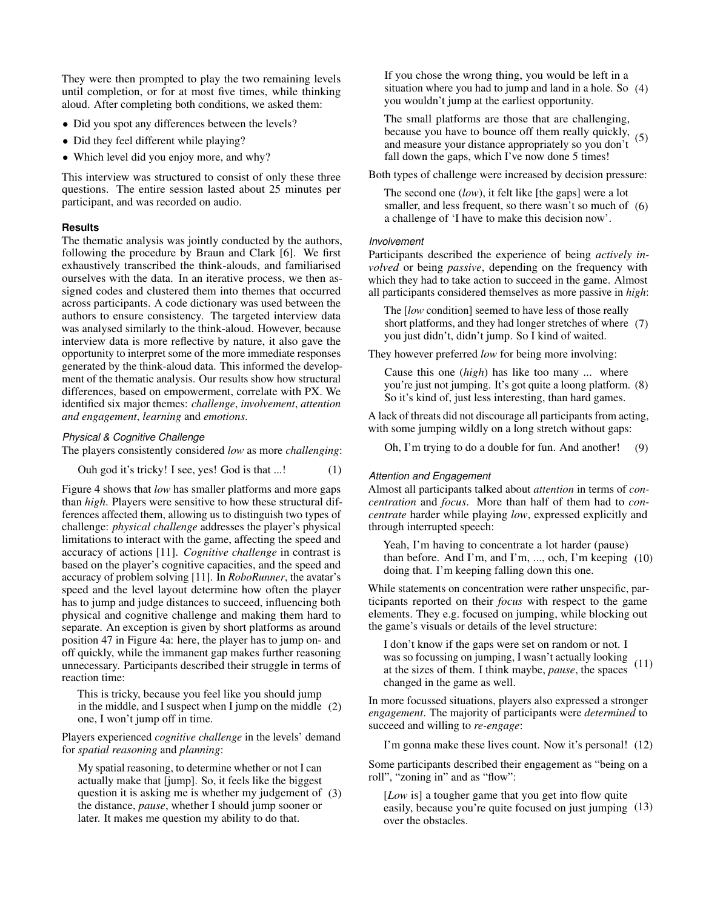They were then prompted to play the two remaining levels until completion, or for at most five times, while thinking aloud. After completing both conditions, we asked them:

- Did you spot any differences between the levels?
- Did they feel different while playing?
- Which level did you enjoy more, and why?

This interview was structured to consist of only these three questions. The entire session lasted about 25 minutes per participant, and was recorded on audio.

# **Results**

The thematic analysis was jointly conducted by the authors, following the procedure by Braun and Clark [\[6\]](#page-9-17). We first exhaustively transcribed the think-alouds, and familiarised ourselves with the data. In an iterative process, we then assigned codes and clustered them into themes that occurred across participants. A code dictionary was used between the authors to ensure consistency. The targeted interview data was analysed similarly to the think-aloud. However, because interview data is more reflective by nature, it also gave the opportunity to interpret some of the more immediate responses generated by the think-aloud data. This informed the development of the thematic analysis. Our results show how structural differences, based on empowerment, correlate with PX. We identified six major themes: *challenge*, *involvement*, *attention and engagement*, *learning* and *emotions*.

## *Physical & Cognitive Challenge*

The players consistently considered *low* as more *challenging*:

Ouh god it's tricky! I see, yes! God is that ...! (1)

Figure [4](#page-5-0) shows that *low* has smaller platforms and more gaps than *high*. Players were sensitive to how these structural differences affected them, allowing us to distinguish two types of challenge: *physical challenge* addresses the player's physical limitations to interact with the game, affecting the speed and accuracy of actions [\[11\]](#page-9-18). *Cognitive challenge* in contrast is based on the player's cognitive capacities, and the speed and accuracy of problem solving [\[11\]](#page-9-18). In *RoboRunner*, the avatar's speed and the level layout determine how often the player has to jump and judge distances to succeed, influencing both physical and cognitive challenge and making them hard to separate. An exception is given by short platforms as around position 47 in Figure [4a:](#page-5-0) here, the player has to jump on- and off quickly, while the immanent gap makes further reasoning unnecessary. Participants described their struggle in terms of reaction time:

<span id="page-6-3"></span>This is tricky, because you feel like you should jump in the middle, and I suspect when I jump on the middle (2) one, I won't jump off in time.

Players experienced *cognitive challenge* in the levels' demand for *spatial reasoning* and *planning*:

<span id="page-6-4"></span>My spatial reasoning, to determine whether or not I can actually make that [jump]. So, it feels like the biggest question it is asking me is whether my judgement of (3) the distance, *pause*, whether I should jump sooner or later. It makes me question my ability to do that.

<span id="page-6-0"></span>If you chose the wrong thing, you would be left in a situation where you had to jump and land in a hole. So (4) you wouldn't jump at the earliest opportunity.

<span id="page-6-1"></span>The small platforms are those that are challenging, because you have to bounce off them really quickly, and measure you have to bounce of them really quickly,  $(5)$  and measure your distance appropriately so you don't fall down the gaps, which I've now done 5 times!

Both types of challenge were increased by decision pressure:

The second one (*low*), it felt like [the gaps] were a lot smaller, and less frequent, so there wasn't so much of (6) a challenge of 'I have to make this decision now'.

## *Involvement*

Participants described the experience of being *actively involved* or being *passive*, depending on the frequency with which they had to take action to succeed in the game. Almost all participants considered themselves as more passive in *high*:

The [*low* condition] seemed to have less of those really short platforms, and they had longer stretches of where (7) you just didn't, didn't jump. So I kind of waited.

They however preferred *low* for being more involving:

Cause this one (*high*) has like too many ... where you're just not jumping. It's got quite a loong platform. (8) So it's kind of, just less interesting, than hard games.

A lack of threats did not discourage all participants from acting, with some jumping wildly on a long stretch without gaps:

<span id="page-6-2"></span>Oh, I'm trying to do a double for fun. And another! (9)

## *Attention and Engagement*

Almost all participants talked about *attention* in terms of *concentration* and *focus*. More than half of them had to *concentrate* harder while playing *low*, expressed explicitly and through interrupted speech:

<span id="page-6-6"></span>Yeah, I'm having to concentrate a lot harder (pause) than before. And I'm, and I'm, ..., och, I'm keeping (10) doing that. I'm keeping falling down this one.

While statements on concentration were rather unspecific, participants reported on their *focus* with respect to the game elements. They e.g. focused on jumping, while blocking out the game's visuals or details of the level structure:

I don't know if the gaps were set on random or not. I was so focussing on jumping, I wasn't actually looking at the sizes of them. I think maybe, *pause*, the spaces changed in the game as well. (11)

In more focussed situations, players also expressed a stronger *engagement*. The majority of participants were *determined* to succeed and willing to *re-engage*:

I'm gonna make these lives count. Now it's personal! (12)

Some participants described their engagement as "being on a roll", "zoning in" and as "flow":

<span id="page-6-5"></span>[*Low* is] a tougher game that you get into flow quite easily, because you're quite focused on just jumping (13)over the obstacles.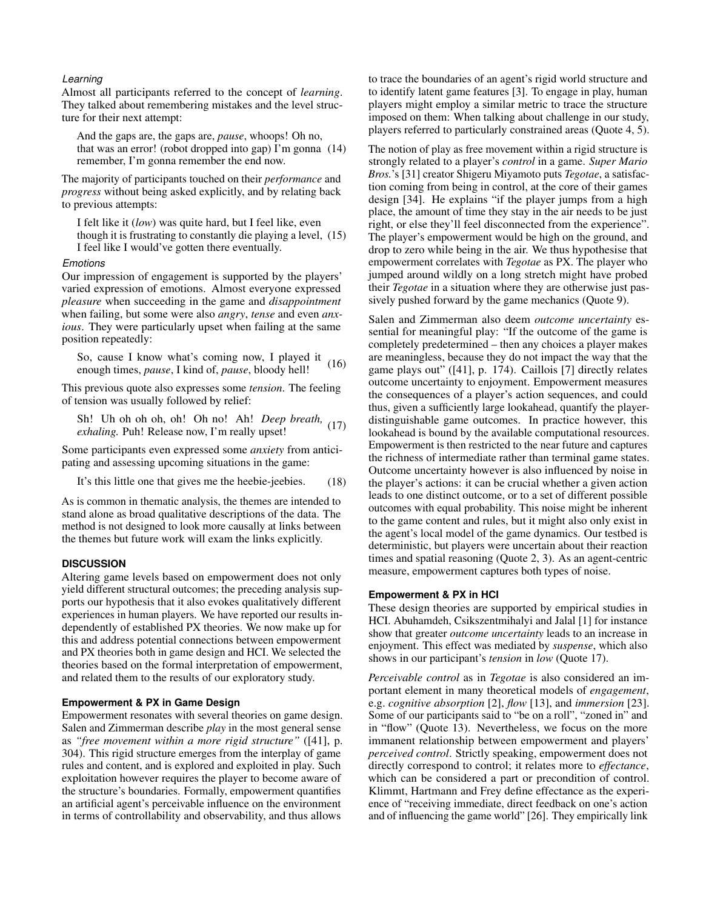# *Learning*

Almost all participants referred to the concept of *learning*. They talked about remembering mistakes and the level structure for their next attempt:

<span id="page-7-3"></span>And the gaps are, the gaps are, *pause*, whoops! Oh no, that was an error! (robot dropped into gap) I'm gonna (14) remember, I'm gonna remember the end now.

The majority of participants touched on their *performance* and *progress* without being asked explicitly, and by relating back to previous attempts:

I felt like it (*low*) was quite hard, but I feel like, even though it is frustrating to constantly die playing a level, (15) I feel like I would've gotten there eventually.

## *Emotions*

Our impression of engagement is supported by the players' varied expression of emotions. Almost everyone expressed *pleasure* when succeeding in the game and *disappointment* when failing, but some were also *angry*, *tense* and even *anxious*. They were particularly upset when failing at the same position repeatedly:

<span id="page-7-1"></span>So, cause I know what's coming now, I played it enough times, *pause*, I kind of, *pause*, bloody hell! (16)

This previous quote also expresses some *tension*. The feeling of tension was usually followed by relief:

<span id="page-7-0"></span>Sh! Uh oh oh oh, oh! Oh no! Ah! *Deep breath, exhaling.* Puh! Release now, I'm really upset! (17) exhaling. Puh! Release now, I'm really upset!

Some participants even expressed some *anxiety* from anticipating and assessing upcoming situations in the game:

<span id="page-7-2"></span>It's this little one that gives me the heebie-jeebies. (18)

As is common in thematic analysis, the themes are intended to stand alone as broad qualitative descriptions of the data. The method is not designed to look more causally at links between the themes but future work will exam the links explicitly.

# **DISCUSSION**

Altering game levels based on empowerment does not only yield different structural outcomes; the preceding analysis supports our hypothesis that it also evokes qualitatively different experiences in human players. We have reported our results independently of established PX theories. We now make up for this and address potential connections between empowerment and PX theories both in game design and HCI. We selected the theories based on the formal interpretation of empowerment, and related them to the results of our exploratory study.

## **Empowerment & PX in Game Design**

Empowerment resonates with several theories on game design. Salen and Zimmerman describe *play* in the most general sense as *"free movement within a more rigid structure"* ([\[41\]](#page-10-24), p. 304). This rigid structure emerges from the interplay of game rules and content, and is explored and exploited in play. Such exploitation however requires the player to become aware of the structure's boundaries. Formally, empowerment quantifies an artificial agent's perceivable influence on the environment in terms of controllability and observability, and thus allows

to trace the boundaries of an agent's rigid world structure and to identify latent game features [\[3\]](#page-9-12). To engage in play, human players might employ a similar metric to trace the structure imposed on them: When talking about challenge in our study, players referred to particularly constrained areas (Quote [4,](#page-6-0) [5\)](#page-6-1).

The notion of play as free movement within a rigid structure is strongly related to a player's *control* in a game. *Super Mario Bros.*'s [\[31\]](#page-10-13) creator Shigeru Miyamoto puts *Tegotae*, a satisfaction coming from being in control, at the core of their games design [\[34\]](#page-10-27). He explains "if the player jumps from a high place, the amount of time they stay in the air needs to be just right, or else they'll feel disconnected from the experience". The player's empowerment would be high on the ground, and drop to zero while being in the air. We thus hypothesise that empowerment correlates with *Tegotae* as PX. The player who jumped around wildly on a long stretch might have probed their *Tegotae* in a situation where they are otherwise just passively pushed forward by the game mechanics (Quote [9\)](#page-6-2).

Salen and Zimmerman also deem *outcome uncertainty* essential for meaningful play: "If the outcome of the game is completely predetermined – then any choices a player makes are meaningless, because they do not impact the way that the game plays out" ([\[41\]](#page-10-24), p. 174). Caillois [\[7\]](#page-9-19) directly relates outcome uncertainty to enjoyment. Empowerment measures the consequences of a player's action sequences, and could thus, given a sufficiently large lookahead, quantify the playerdistinguishable game outcomes. In practice however, this lookahead is bound by the available computational resources. Empowerment is then restricted to the near future and captures the richness of intermediate rather than terminal game states. Outcome uncertainty however is also influenced by noise in the player's actions: it can be crucial whether a given action leads to one distinct outcome, or to a set of different possible outcomes with equal probability. This noise might be inherent to the game content and rules, but it might also only exist in the agent's local model of the game dynamics. Our testbed is deterministic, but players were uncertain about their reaction times and spatial reasoning (Quote [2,](#page-6-3) [3\)](#page-6-4). As an agent-centric measure, empowerment captures both types of noise.

# **Empowerment & PX in HCI**

These design theories are supported by empirical studies in HCI. Abuhamdeh, Csikszentmihalyi and Jalal [\[1\]](#page-9-10) for instance show that greater *outcome uncertainty* leads to an increase in enjoyment. This effect was mediated by *suspense*, which also shows in our participant's *tension* in *low* (Quote [17\)](#page-7-0).

*Perceivable control* as in *Tegotae* is also considered an important element in many theoretical models of *engagement*, e.g. *cognitive absorption* [\[2\]](#page-9-20), *flow* [\[13\]](#page-9-9), and *immersion* [\[23\]](#page-9-21). Some of our participants said to "be on a roll", "zoned in" and in "flow" (Quote [13\)](#page-6-5). Nevertheless, we focus on the more immanent relationship between empowerment and players' *perceived control*. Strictly speaking, empowerment does not directly correspond to control; it relates more to *effectance*, which can be considered a part or precondition of control. Klimmt, Hartmann and Frey define effectance as the experience of "receiving immediate, direct feedback on one's action and of influencing the game world" [\[26\]](#page-10-28). They empirically link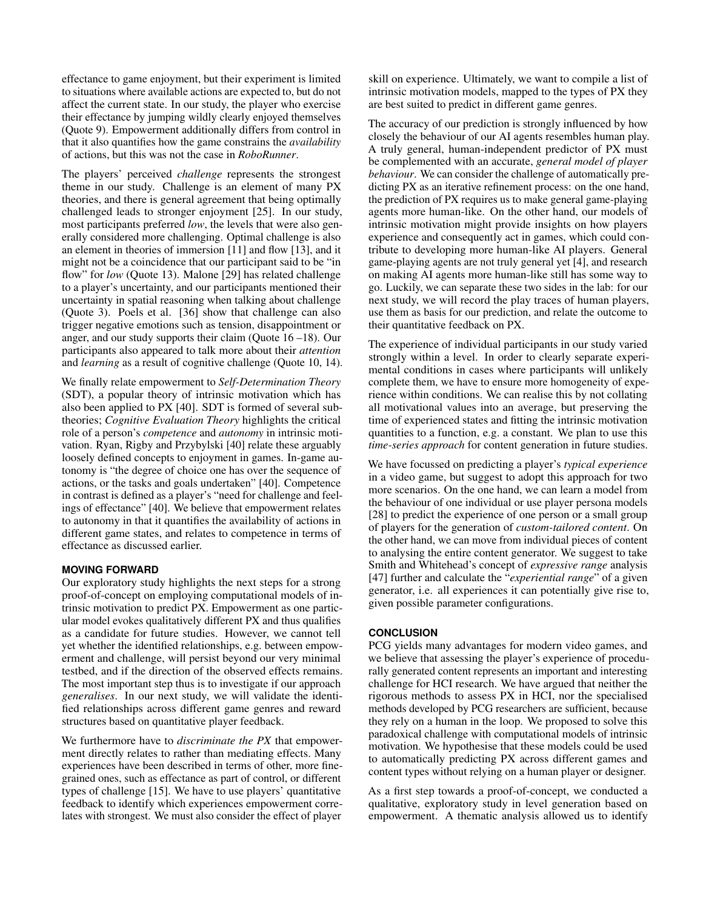effectance to game enjoyment, but their experiment is limited to situations where available actions are expected to, but do not affect the current state. In our study, the player who exercise their effectance by jumping wildly clearly enjoyed themselves (Quote [9\)](#page-6-2). Empowerment additionally differs from control in that it also quantifies how the game constrains the *availability* of actions, but this was not the case in *RoboRunner*.

The players' perceived *challenge* represents the strongest theme in our study. Challenge is an element of many PX theories, and there is general agreement that being optimally challenged leads to stronger enjoyment [\[25\]](#page-9-22). In our study, most participants preferred *low*, the levels that were also generally considered more challenging. Optimal challenge is also an element in theories of immersion [\[11\]](#page-9-18) and flow [\[13\]](#page-9-9), and it might not be a coincidence that our participant said to be "in flow" for *low* (Quote [13\)](#page-6-5). Malone [\[29\]](#page-10-29) has related challenge to a player's uncertainty, and our participants mentioned their uncertainty in spatial reasoning when talking about challenge (Quote [3\)](#page-6-4). Poels et al. [\[36\]](#page-10-30) show that challenge can also trigger negative emotions such as tension, disappointment or anger, and our study supports their claim (Quote [16](#page-7-1) [–18\)](#page-7-2). Our participants also appeared to talk more about their *attention* and *learning* as a result of cognitive challenge (Quote [10,](#page-6-6) [14\)](#page-7-3).

We finally relate empowerment to *Self-Determination Theory* (SDT), a popular theory of intrinsic motivation which has also been applied to PX [\[40\]](#page-10-19). SDT is formed of several subtheories; *Cognitive Evaluation Theory* highlights the critical role of a person's *competence* and *autonomy* in intrinsic motivation. Ryan, Rigby and Przybylski [\[40\]](#page-10-19) relate these arguably loosely defined concepts to enjoyment in games. In-game autonomy is "the degree of choice one has over the sequence of actions, or the tasks and goals undertaken" [\[40\]](#page-10-19). Competence in contrast is defined as a player's "need for challenge and feelings of effectance" [\[40\]](#page-10-19). We believe that empowerment relates to autonomy in that it quantifies the availability of actions in different game states, and relates to competence in terms of effectance as discussed earlier.

# **MOVING FORWARD**

Our exploratory study highlights the next steps for a strong proof-of-concept on employing computational models of intrinsic motivation to predict PX. Empowerment as one particular model evokes qualitatively different PX and thus qualifies as a candidate for future studies. However, we cannot tell yet whether the identified relationships, e.g. between empowerment and challenge, will persist beyond our very minimal testbed, and if the direction of the observed effects remains. The most important step thus is to investigate if our approach *generalises*. In our next study, we will validate the identified relationships across different game genres and reward structures based on quantitative player feedback.

We furthermore have to *discriminate the PX* that empowerment directly relates to rather than mediating effects. Many experiences have been described in terms of other, more finegrained ones, such as effectance as part of control, or different types of challenge [\[15\]](#page-9-23). We have to use players' quantitative feedback to identify which experiences empowerment correlates with strongest. We must also consider the effect of player

skill on experience. Ultimately, we want to compile a list of intrinsic motivation models, mapped to the types of PX they are best suited to predict in different game genres.

The accuracy of our prediction is strongly influenced by how closely the behaviour of our AI agents resembles human play. A truly general, human-independent predictor of PX must be complemented with an accurate, *general model of player behaviour*. We can consider the challenge of automatically predicting PX as an iterative refinement process: on the one hand, the prediction of PX requires us to make general game-playing agents more human-like. On the other hand, our models of intrinsic motivation might provide insights on how players experience and consequently act in games, which could contribute to developing more human-like AI players. General game-playing agents are not truly general yet [\[4\]](#page-9-24), and research on making AI agents more human-like still has some way to go. Luckily, we can separate these two sides in the lab: for our next study, we will record the play traces of human players, use them as basis for our prediction, and relate the outcome to their quantitative feedback on PX.

The experience of individual participants in our study varied strongly within a level. In order to clearly separate experimental conditions in cases where participants will unlikely complete them, we have to ensure more homogeneity of experience within conditions. We can realise this by not collating all motivational values into an average, but preserving the time of experienced states and fitting the intrinsic motivation quantities to a function, e.g. a constant. We plan to use this *time-series approach* for content generation in future studies.

We have focussed on predicting a player's *typical experience* in a video game, but suggest to adopt this approach for two more scenarios. On the one hand, we can learn a model from the behaviour of one individual or use player persona models [\[28\]](#page-10-31) to predict the experience of one person or a small group of players for the generation of *custom-tailored content*. On the other hand, we can move from individual pieces of content to analysing the entire content generator. We suggest to take Smith and Whitehead's concept of *expressive range* analysis [\[47\]](#page-10-10) further and calculate the "*experiential range*" of a given generator, i.e. all experiences it can potentially give rise to, given possible parameter configurations.

# **CONCLUSION**

PCG yields many advantages for modern video games, and we believe that assessing the player's experience of procedurally generated content represents an important and interesting challenge for HCI research. We have argued that neither the rigorous methods to assess PX in HCI, nor the specialised methods developed by PCG researchers are sufficient, because they rely on a human in the loop. We proposed to solve this paradoxical challenge with computational models of intrinsic motivation. We hypothesise that these models could be used to automatically predicting PX across different games and content types without relying on a human player or designer.

As a first step towards a proof-of-concept, we conducted a qualitative, exploratory study in level generation based on empowerment. A thematic analysis allowed us to identify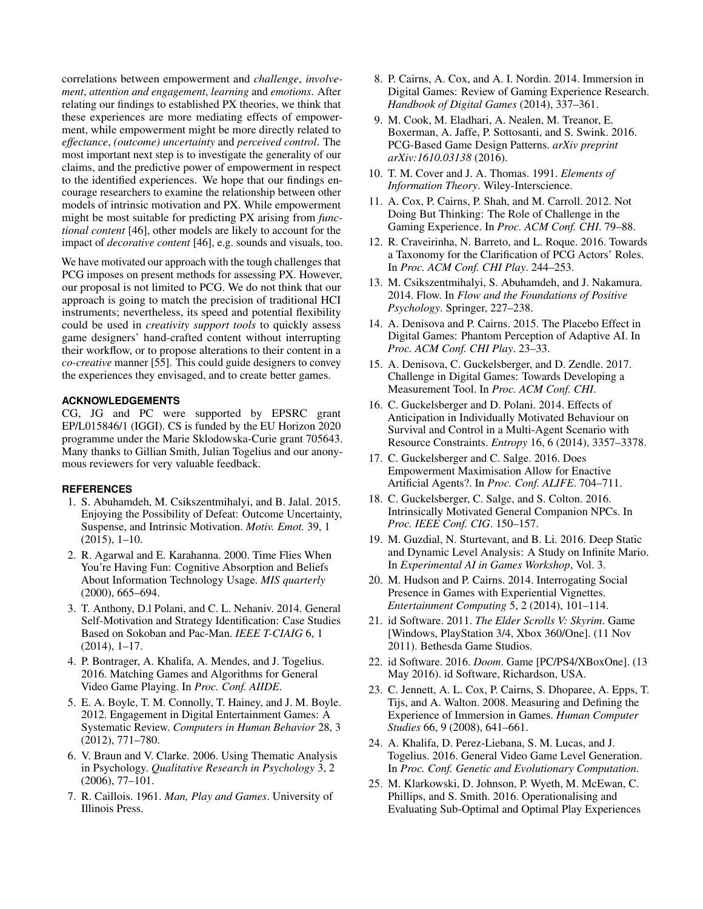correlations between empowerment and *challenge*, *involvement*, *attention and engagement*, *learning* and *emotions*. After relating our findings to established PX theories, we think that these experiences are more mediating effects of empowerment, while empowerment might be more directly related to *effectance*, *(outcome) uncertainty* and *perceived control*. The most important next step is to investigate the generality of our claims, and the predictive power of empowerment in respect to the identified experiences. We hope that our findings encourage researchers to examine the relationship between other models of intrinsic motivation and PX. While empowerment might be most suitable for predicting PX arising from *functional content* [\[46\]](#page-10-6), other models are likely to account for the impact of *decorative content* [\[46\]](#page-10-6), e.g. sounds and visuals, too.

We have motivated our approach with the tough challenges that PCG imposes on present methods for assessing PX. However, our proposal is not limited to PCG. We do not think that our approach is going to match the precision of traditional HCI instruments; nevertheless, its speed and potential flexibility could be used in *creativity support tools* to quickly assess game designers' hand-crafted content without interrupting their workflow, or to propose alterations to their content in a *co-creative* manner [\[55\]](#page-10-32). This could guide designers to convey the experiences they envisaged, and to create better games.

# **ACKNOWLEDGEMENTS**

CG, JG and PC were supported by EPSRC grant EP/L015846/1 (IGGI). CS is funded by the EU Horizon 2020 programme under the Marie Sklodowska-Curie grant 705643. Many thanks to Gillian Smith, Julian Togelius and our anonymous reviewers for very valuable feedback.

## **REFERENCES**

- <span id="page-9-10"></span>1. S. Abuhamdeh, M. Csikszentmihalyi, and B. Jalal. 2015. Enjoying the Possibility of Defeat: Outcome Uncertainty, Suspense, and Intrinsic Motivation. *Motiv. Emot.* 39, 1 (2015), 1–10.
- <span id="page-9-20"></span>2. R. Agarwal and E. Karahanna. 2000. Time Flies When You're Having Fun: Cognitive Absorption and Beliefs About Information Technology Usage. *MIS quarterly* (2000), 665–694.
- <span id="page-9-12"></span>3. T. Anthony, D.l Polani, and C. L. Nehaniv. 2014. General Self-Motivation and Strategy Identification: Case Studies Based on Sokoban and Pac-Man. *IEEE T-CIAIG* 6, 1 (2014), 1–17.
- <span id="page-9-24"></span>4. P. Bontrager, A. Khalifa, A. Mendes, and J. Togelius. 2016. Matching Games and Algorithms for General Video Game Playing. In *Proc. Conf. AIIDE*.
- <span id="page-9-2"></span>5. E. A. Boyle, T. M. Connolly, T. Hainey, and J. M. Boyle. 2012. Engagement in Digital Entertainment Games: A Systematic Review. *Computers in Human Behavior* 28, 3 (2012), 771–780.
- <span id="page-9-17"></span>6. V. Braun and V. Clarke. 2006. Using Thematic Analysis in Psychology. *Qualitative Research in Psychology* 3, 2 (2006), 77–101.
- <span id="page-9-19"></span>7. R. Caillois. 1961. *Man, Play and Games*. University of Illinois Press.
- <span id="page-9-3"></span>8. P. Cairns, A. Cox, and A. I. Nordin. 2014. Immersion in Digital Games: Review of Gaming Experience Research. *Handbook of Digital Games* (2014), 337–361.
- <span id="page-9-0"></span>9. M. Cook, M. Eladhari, A. Nealen, M. Treanor, E. Boxerman, A. Jaffe, P. Sottosanti, and S. Swink. 2016. PCG-Based Game Design Patterns. *arXiv preprint arXiv:1610.03138* (2016).
- <span id="page-9-14"></span>10. T. M. Cover and J. A. Thomas. 1991. *Elements of Information Theory*. Wiley-Interscience.
- <span id="page-9-18"></span>11. A. Cox, P. Cairns, P. Shah, and M. Carroll. 2012. Not Doing But Thinking: The Role of Challenge in the Gaming Experience. In *Proc. ACM Conf. CHI*. 79–88.
- <span id="page-9-4"></span>12. R. Craveirinha, N. Barreto, and L. Roque. 2016. Towards a Taxonomy for the Clarification of PCG Actors' Roles. In *Proc. ACM Conf. CHI Play*. 244–253.
- <span id="page-9-9"></span>13. M. Csikszentmihalyi, S. Abuhamdeh, and J. Nakamura. 2014. Flow. In *Flow and the Foundations of Positive Psychology*. Springer, 227–238.
- <span id="page-9-1"></span>14. A. Denisova and P. Cairns. 2015. The Placebo Effect in Digital Games: Phantom Perception of Adaptive AI. In *Proc. ACM Conf. CHI Play*. 23–33.
- <span id="page-9-23"></span>15. A. Denisova, C. Guckelsberger, and D. Zendle. 2017. Challenge in Digital Games: Towards Developing a Measurement Tool. In *Proc. ACM Conf. CHI*.
- <span id="page-9-15"></span>16. C. Guckelsberger and D. Polani. 2014. Effects of Anticipation in Individually Motivated Behaviour on Survival and Control in a Multi-Agent Scenario with Resource Constraints. *Entropy* 16, 6 (2014), 3357–3378.
- <span id="page-9-11"></span>17. C. Guckelsberger and C. Salge. 2016. Does Empowerment Maximisation Allow for Enactive Artificial Agents?. In *Proc. Conf. ALIFE*. 704–711.
- <span id="page-9-13"></span>18. C. Guckelsberger, C. Salge, and S. Colton. 2016. Intrinsically Motivated General Companion NPCs. In *Proc. IEEE Conf. CIG*. 150–157.
- <span id="page-9-5"></span>19. M. Guzdial, N. Sturtevant, and B. Li. 2016. Deep Static and Dynamic Level Analysis: A Study on Infinite Mario. In *Experimental AI in Games Workshop*, Vol. 3.
- <span id="page-9-16"></span>20. M. Hudson and P. Cairns. 2014. Interrogating Social Presence in Games with Experiential Vignettes. *Entertainment Computing* 5, 2 (2014), 101–114.
- <span id="page-9-8"></span>21. id Software. 2011. *The Elder Scrolls V: Skyrim*. Game [Windows, PlayStation 3/4, Xbox 360/One]. (11 Nov 2011). Bethesda Game Studios.
- <span id="page-9-7"></span>22. id Software. 2016. *Doom*. Game [PC/PS4/XBoxOne]. (13 May 2016). id Software, Richardson, USA.
- <span id="page-9-21"></span>23. C. Jennett, A. L. Cox, P. Cairns, S. Dhoparee, A. Epps, T. Tijs, and A. Walton. 2008. Measuring and Defining the Experience of Immersion in Games. *Human Computer Studies* 66, 9 (2008), 641–661.
- <span id="page-9-6"></span>24. A. Khalifa, D. Perez-Liebana, S. M. Lucas, and J. Togelius. 2016. General Video Game Level Generation. In *Proc. Conf. Genetic and Evolutionary Computation*.
- <span id="page-9-22"></span>25. M. Klarkowski, D. Johnson, P. Wyeth, M. McEwan, C. Phillips, and S. Smith. 2016. Operationalising and Evaluating Sub-Optimal and Optimal Play Experiences